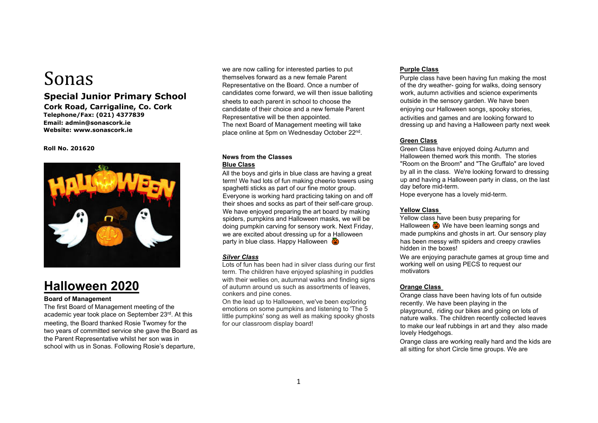# Sonas

# **Special Junior Primary School**

**Cork Road, Carrigaline, Co. Cork Telephone/Fax: (021) 4377839 Email: admin@sonascork.ie Website: www.sonascork.ie** 

#### **Roll No. 201620**



# **Halloween 2020**

# **Board of Management**

The first Board of Management meeting of the academic year took place on September 23rd. At this meeting, the Board thanked Rosie Twomey for the two years of committed service she gave the Board as the Parent Representative whilst her son was in school with us in Sonas. Following Rosie's departure,

we are now calling for interested parties to put themselves forward as a new female Parent Representative on the Board. Once a number of candidates come forward, we will then issue balloting sheets to each parent in school to choose the candidate of their choice and a new female Parent Representative will be then appointed. The next Board of Management meeting will take place online at 5pm on Wednesday October 22nd.

# **News from the Classes Blue Class**

All the boys and girls in blue class are having a great term! We had lots of fun making cheerio towers using spaghetti sticks as part of our fine motor group. Everyone is working hard practicing taking on and off their shoes and socks as part of their self-care group. We have enjoyed preparing the art board by making spiders, pumpkins and Halloween masks, we will be doing pumpkin carving for sensory work. Next Friday, we are excited about dressing up for a Halloween party in blue class. Happy Halloween  $\ddot{\bullet}$ 

# *Silver Class*

Lots of fun has been had in silver class during our first term. The children have enjoyed splashing in puddles with their wellies on, autumnal walks and finding signs of autumn around us such as assortments of leaves, conkers and pine cones.

On the lead up to Halloween, we've been exploring emotions on some pumpkins and listening to 'The 5 little pumpkins' song as well as making spooky ghosts for our classroom display board!

# **Purple Class**

Purple class have been having fun making the most of the dry weather- going for walks, doing sensory work, autumn activities and science experiments outside in the sensory garden. We have been enjoying our Halloween songs, spooky stories, activities and games and are looking forward to dressing up and having a Halloween party next week

# **Green Class**

Green Class have enjoyed doing Autumn and Halloween themed work this month. The stories "Room on the Broom" and "The Gruffalo" are loved by all in the class. We're looking forward to dressing up and having a Halloween party in class, on the last day before mid-term.

Hope everyone has a lovely mid-term.

# **Yellow Class**

Yellow class have been busy preparing for Halloween  $\ddot{\bullet}$  We have been learning songs and made pumpkins and ghosts in art. Our sensory play has been messy with spiders and creepy crawlies hidden in the boxes!

We are enjoying parachute games at group time and working well on using PECS to request our motivators

# **Orange Class**

Orange class have been having lots of fun outside recently. We have been playing in the playground, riding our bikes and going on lots of nature walks. The children recently collected leaves to make our leaf rubbings in art and they also made lovely Hedgehogs.

Orange class are working really hard and the kids are all sitting for short Circle time groups. We are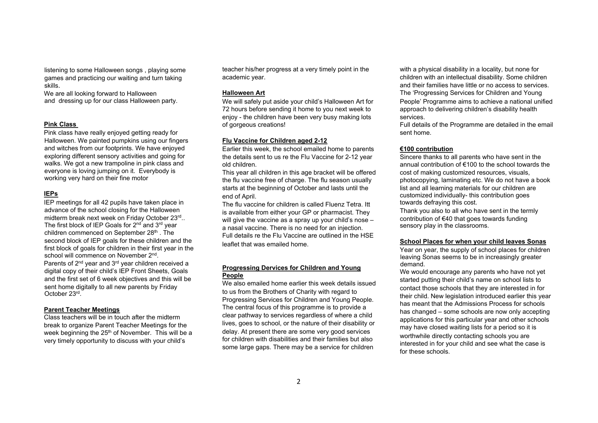listening to some Halloween songs , playing some games and practicing our waiting and turn taking skills.

We are all looking forward to Halloween and dressing up for our class Halloween party.

#### **Pink Class**

Pink class have really enjoyed getting ready for Halloween. We painted pumpkins using our fingers and witches from our footprints. We have enjoyed exploring different sensory activities and going for walks. We got a new trampoline in pink class and everyone is loving jumping on it. Everybody is working very hard on their fine motor

# **IEPs**

IEP meetings for all 42 pupils have taken place in advance of the school closing for the Halloween midterm break next week on Friday October 23rd.. The first block of IEP Goals for  $2<sup>nd</sup>$  and  $3<sup>rd</sup>$  year children commenced on September 28<sup>th</sup>. The second block of IEP goals for these children and the first block of goals for children in their first year in the school will commence on November 2<sup>nd</sup>. Parents of 2<sup>nd</sup> year and 3<sup>rd</sup> year children received a digital copy of their child's IEP Front Sheets, Goals and the first set of 6 week objectives and this will be sent home digitally to all new parents by Friday October 23rd.

# **Parent Teacher Meetings**

Class teachers will be in touch after the midterm break to organize Parent Teacher Meetings for the week beginning the 25<sup>th</sup> of November. This will be a very timely opportunity to discuss with your child's

teacher his/her progress at a very timely point in the academic year.

#### **Halloween Art**

We will safely put aside your child's Halloween Art for 72 hours before sending it home to you next week to enjoy - the children have been very busy making lots of gorgeous creations!

# **Flu Vaccine for Children aged 2-12**

Earlier this week, the school emailed home to parents the details sent to us re the Flu Vaccine for 2-12 year old children.

This year all children in this age bracket will be offered the flu vaccine free of charge. The flu season usually starts at the beginning of October and lasts until the end of April.

The flu vaccine for children is called Fluenz Tetra. Itt is available from either your GP or pharmacist. They will give the vaccine as a spray up your child's nose – a nasal vaccine. There is no need for an injection. Full details re the Flu Vaccine are outlined in the HSE leaflet that was emailed home.

# **Progressing Dervices for Children and Young People**

We also emailed home earlier this week details issued to us from the Brothers of Charity with regard to Progressing Services for Children and Young People. The central focus of this programme is to provide a clear pathway to services regardless of where a child lives, goes to school, or the nature of their disability or delay. At present there are some very good services for children with disabilities and their families but also some large gaps. There may be a service for children

with a physical disability in a locality, but none for children with an intellectual disability. Some children and their families have little or no access to services. The 'Progressing Services for Children and Young People' Programme aims to achieve a national unified approach to delivering children's disability health services.

Full details of the Programme are detailed in the email sent home.

# **€100 contribution**

Sincere thanks to all parents who have sent in the annual contribution of €100 to the school towards the cost of making customized resources, visuals, photocopying, laminating etc. We do not have a book list and all learning materials for our children are customized individually- this contribution goes towards defraying this cost.

Thank you also to all who have sent in the termly contribution of €40 that goes towards funding sensory play in the classrooms.

#### **School Places for when your child leaves Sonas**

Year on year, the supply of school places for children leaving Sonas seems to be in increasingly greater demand.

We would encourage any parents who have not yet started putting their child's name on school lists to contact those schools that they are interested in for their child. New legislation introduced earlier this year has meant that the Admissions Process for schools has changed – some schools are now only accepting applications for this particular year and other schools may have closed waiting lists for a period so it is worthwhile directly contacting schools you are interested in for your child and see what the case is for these schools.